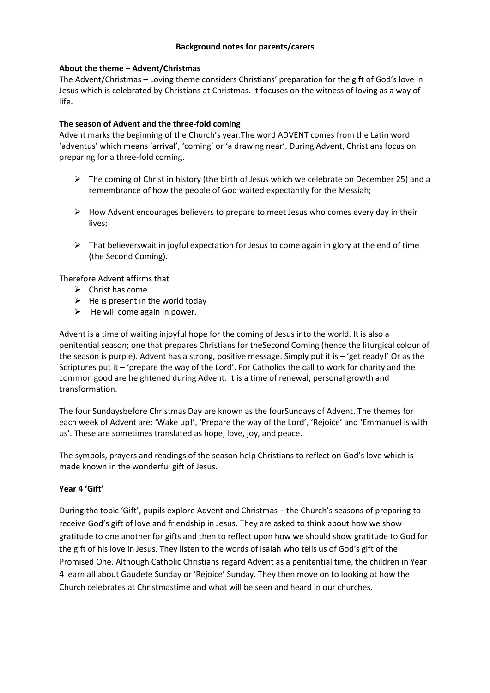### **Background notes for parents/carers**

#### **About the theme – Advent/Christmas**

The Advent/Christmas – Loving theme considers Christians' preparation for the gift of God's love in Jesus which is celebrated by Christians at Christmas. It focuses on the witness of loving as a way of life.

#### **The season of Advent and the three-fold coming**

Advent marks the beginning of the Church's year.The word ADVENT comes from the Latin word 'adventus' which means 'arrival', 'coming' or 'a drawing near'. During Advent, Christians focus on preparing for a three-fold coming.

- $\triangleright$  The coming of Christ in history (the birth of Jesus which we celebrate on December 25) and a remembrance of how the people of God waited expectantly for the Messiah;
- $\triangleright$  How Advent encourages believers to prepare to meet Jesus who comes every day in their lives;
- $\triangleright$  That believerswait in joyful expectation for Jesus to come again in glory at the end of time (the Second Coming).

Therefore Advent affirms that

- $\triangleright$  Christ has come
- $\triangleright$  He is present in the world today
- $\triangleright$  He will come again in power.

Advent is a time of waiting injoyful hope for the coming of Jesus into the world. It is also a penitential season; one that prepares Christians for theSecond Coming (hence the liturgical colour of the season is purple). Advent has a strong, positive message. Simply put it is – 'get ready!' Or as the Scriptures put it – 'prepare the way of the Lord'. For Catholics the call to work for charity and the common good are heightened during Advent. It is a time of renewal, personal growth and transformation.

The four Sundaysbefore Christmas Day are known as the fourSundays of Advent. The themes for each week of Advent are: 'Wake up!', 'Prepare the way of the Lord', 'Rejoice' and 'Emmanuel is with us'. These are sometimes translated as hope, love, joy, and peace.

The symbols, prayers and readings of the season help Christians to reflect on God's love which is made known in the wonderful gift of Jesus.

#### **Year 4 'Gift'**

During the topic 'Gift', pupils explore Advent and Christmas – the Church's seasons of preparing to receive God's gift of love and friendship in Jesus. They are asked to think about how we show gratitude to one another for gifts and then to reflect upon how we should show gratitude to God for the gift of his love in Jesus. They listen to the words of Isaiah who tells us of God's gift of the Promised One. Although Catholic Christians regard Advent as a penitential time, the children in Year 4 learn all about Gaudete Sunday or 'Rejoice' Sunday. They then move on to looking at how the Church celebrates at Christmastime and what will be seen and heard in our churches.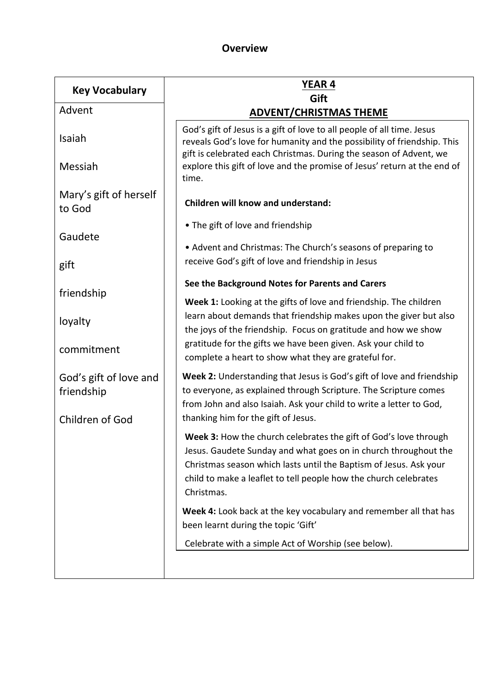# **Overview**

| <b>Key Vocabulary</b>                                   | <b>YEAR 4</b><br>Gift                                                                                                                                                                                                                                                                      |  |
|---------------------------------------------------------|--------------------------------------------------------------------------------------------------------------------------------------------------------------------------------------------------------------------------------------------------------------------------------------------|--|
| Advent                                                  | <b>ADVENT/CHRISTMAS THEME</b>                                                                                                                                                                                                                                                              |  |
| Isaiah                                                  | God's gift of Jesus is a gift of love to all people of all time. Jesus<br>reveals God's love for humanity and the possibility of friendship. This<br>gift is celebrated each Christmas. During the season of Advent, we                                                                    |  |
| Messiah                                                 | explore this gift of love and the promise of Jesus' return at the end of<br>time.                                                                                                                                                                                                          |  |
| Mary's gift of herself<br>to God                        | <b>Children will know and understand:</b>                                                                                                                                                                                                                                                  |  |
| Gaudete                                                 | • The gift of love and friendship                                                                                                                                                                                                                                                          |  |
| gift                                                    | • Advent and Christmas: The Church's seasons of preparing to<br>receive God's gift of love and friendship in Jesus                                                                                                                                                                         |  |
| friendship                                              | See the Background Notes for Parents and Carers                                                                                                                                                                                                                                            |  |
| loyalty                                                 | Week 1: Looking at the gifts of love and friendship. The children<br>learn about demands that friendship makes upon the giver but also<br>the joys of the friendship. Focus on gratitude and how we show                                                                                   |  |
| commitment                                              | gratitude for the gifts we have been given. Ask your child to<br>complete a heart to show what they are grateful for.                                                                                                                                                                      |  |
| God's gift of love and<br>friendship<br>Children of God | Week 2: Understanding that Jesus is God's gift of love and friendship<br>to everyone, as explained through Scripture. The Scripture comes<br>from John and also Isaiah. Ask your child to write a letter to God,<br>thanking him for the gift of Jesus.                                    |  |
|                                                         | Week 3: How the church celebrates the gift of God's love through<br>Jesus. Gaudete Sunday and what goes on in church throughout the<br>Christmas season which lasts until the Baptism of Jesus. Ask your<br>child to make a leaflet to tell people how the church celebrates<br>Christmas. |  |
|                                                         | Week 4: Look back at the key vocabulary and remember all that has<br>been learnt during the topic 'Gift'                                                                                                                                                                                   |  |
|                                                         | Celebrate with a simple Act of Worship (see below).                                                                                                                                                                                                                                        |  |
|                                                         |                                                                                                                                                                                                                                                                                            |  |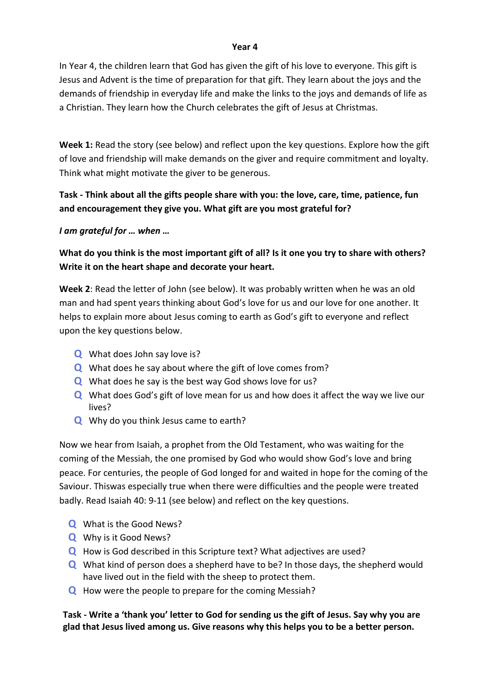## **Year 4**

In Year 4, the children learn that God has given the gift of his love to everyone. This gift is Jesus and Advent is the time of preparation for that gift. They learn about the joys and the demands of friendship in everyday life and make the links to the joys and demands of life as a Christian. They learn how the Church celebrates the gift of Jesus at Christmas.

**Week 1:** Read the story (see below) and reflect upon the key questions. Explore how the gift of love and friendship will make demands on the giver and require commitment and loyalty. Think what might motivate the giver to be generous.

# **Task - Think about all the gifts people share with you: the love, care, time, patience, fun and encouragement they give you. What gift are you most grateful for?**

*I am grateful for … when …*

**What do you think is the most important gift of all? Is it one you try to share with others? Write it on the heart shape and decorate your heart.**

**Week 2**: Read the letter of John (see below). It was probably written when he was an old man and had spent years thinking about God's love for us and our love for one another. It helps to explain more about Jesus coming to earth as God's gift to everyone and reflect upon the key questions below.

- **Q** What does John say love is?
- **Q** What does he say about where the gift of love comes from?
- **Q** What does he say is the best way God shows love for us?
- **Q** What does God's gift of love mean for us and how does it affect the way we live our lives?
- **Q** Why do you think Jesus came to earth?

Now we hear from Isaiah, a prophet from the Old Testament, who was waiting for the coming of the Messiah, the one promised by God who would show God's love and bring peace. For centuries, the people of God longed for and waited in hope for the coming of the Saviour. Thiswas especially true when there were difficulties and the people were treated badly. Read Isaiah 40: 9-11 (see below) and reflect on the key questions.

- **Q** What is the Good News?
- **Q** Why is it Good News?
- **Q** How is God described in this Scripture text? What adjectives are used?
- **Q** What kind of person does a shepherd have to be? In those days, the shepherd would have lived out in the field with the sheep to protect them.
- **Q** How were the people to prepare for the coming Messiah?

**Task - Write a 'thank you' letter to God for sending us the gift of Jesus. Say why you are glad that Jesus lived among us. Give reasons why this helps you to be a better person.**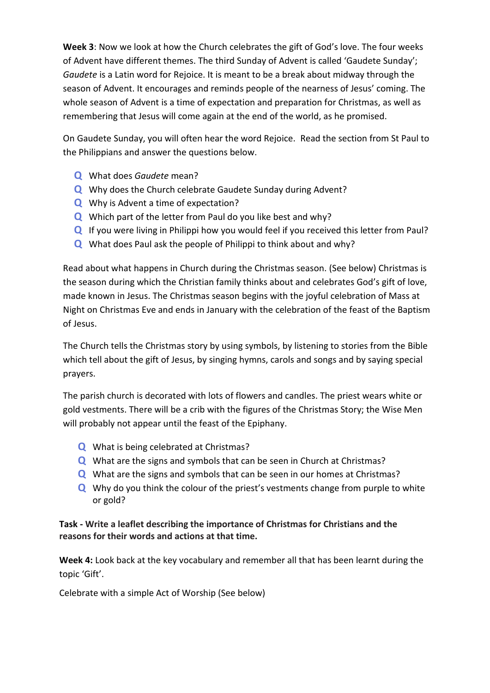**Week 3**: Now we look at how the Church celebrates the gift of God's love. The four weeks of Advent have different themes. The third Sunday of Advent is called 'Gaudete Sunday'; *Gaudete* is a Latin word for Rejoice. It is meant to be a break about midway through the season of Advent. It encourages and reminds people of the nearness of Jesus' coming. The whole season of Advent is a time of expectation and preparation for Christmas, as well as remembering that Jesus will come again at the end of the world, as he promised.

On Gaudete Sunday, you will often hear the word Rejoice. Read the section from St Paul to the Philippians and answer the questions below.

- **Q** What does *Gaudete* mean?
- **Q** Why does the Church celebrate Gaudete Sunday during Advent?
- **Q** Why is Advent a time of expectation?
- **Q** Which part of the letter from Paul do you like best and why?
- **Q** If you were living in Philippi how you would feel if you received this letter from Paul?
- **Q** What does Paul ask the people of Philippi to think about and why?

Read about what happens in Church during the Christmas season. (See below) Christmas is the season during which the Christian family thinks about and celebrates God's gift of love, made known in Jesus. The Christmas season begins with the joyful celebration of Mass at Night on Christmas Eve and ends in January with the celebration of the feast of the Baptism of Jesus.

The Church tells the Christmas story by using symbols, by listening to stories from the Bible which tell about the gift of Jesus, by singing hymns, carols and songs and by saying special prayers.

The parish church is decorated with lots of flowers and candles. The priest wears white or gold vestments. There will be a crib with the figures of the Christmas Story; the Wise Men will probably not appear until the feast of the Epiphany.

- **Q** What is being celebrated at Christmas?
- **Q** What are the signs and symbols that can be seen in Church at Christmas?
- **Q** What are the signs and symbols that can be seen in our homes at Christmas?
- **Q** Why do you think the colour of the priest's vestments change from purple to white or gold?

# **Task - Write a leaflet describing the importance of Christmas for Christians and the reasons for their words and actions at that time.**

**Week 4:** Look back at the key vocabulary and remember all that has been learnt during the topic 'Gift'.

Celebrate with a simple Act of Worship (See below)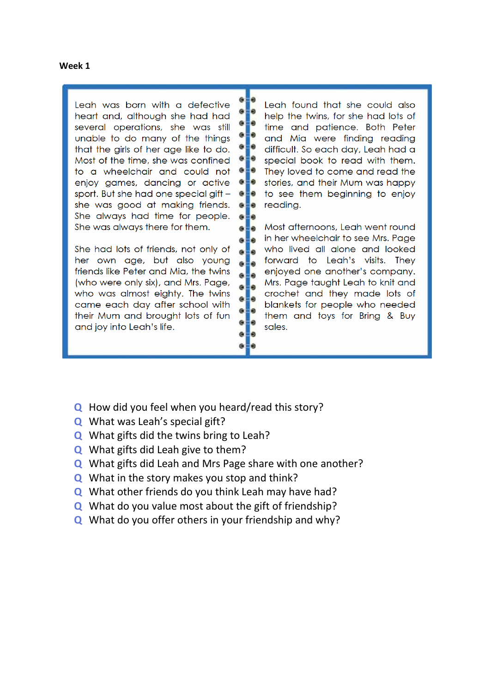#### **Week 1**

Leah was born with a defective heart and, although she had had several operations, she was still unable to do many of the things that the girls of her age like to do. Most of the time, she was confined to a wheelchair and could not enjoy games, dancing or active sport. But she had one special gift she was good at making friends. She always had time for people. She was always there for them.

She had lots of friends, not only of her own age, but also young friends like Peter and Mia, the twins (who were only six), and Mrs. Page, who was almost eighty. The twins came each day after school with their Mum and brought lots of fun and joy into Leah's life.

Leah found that she could also help the twins, for she had lots of time and patience. Both Peter and Mia were finding reading difficult. So each day, Leah had a special book to read with them. They loved to come and read the stories, and their Mum was happy to see them beginning to enjoy reading.

Most afternoons, Leah went round in her wheelchair to see Mrs. Page who lived all alone and looked forward to Leah's visits. They enjoyed one another's company. Mrs. Page taught Leah to knit and crochet and they made lots of blankets for people who needed them and toys for Bring & Buy sales.

- **Q** How did you feel when you heard/read this story?
- **Q** What was Leah's special gift?
- **Q** What gifts did the twins bring to Leah?
- **Q** What gifts did Leah give to them?
- **Q** What gifts did Leah and Mrs Page share with one another?

G. l۵

G

 $\bullet$ 

 $e = e$ 

 $e = e$ 

G E O

 $0 = 0$ 

 $6 - 0$ 

 $6 - 0$ 

 $e = e$ 

 $e = e$ 

 $\bullet$ - $\bullet$ 

 $\bullet$ 

 $\bullet$ ۱ə

e.

 $\alpha$ Ð

- **Q** What in the story makes you stop and think?
- **Q** What other friends do you think Leah may have had?
- **Q** What do you value most about the gift of friendship?
- **Q** What do you offer others in your friendship and why?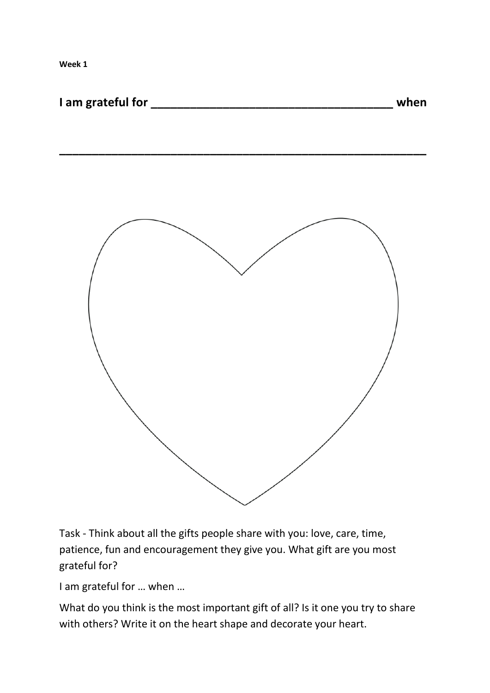**Week 1**

| I am grateful for |  | when |
|-------------------|--|------|
|-------------------|--|------|

**\_\_\_\_\_\_\_\_\_\_\_\_\_\_\_\_\_\_\_\_\_\_\_\_\_\_\_\_\_\_\_\_\_\_\_\_\_\_\_\_\_\_\_\_\_\_\_\_\_\_\_\_\_\_\_\_**



Task - Think about all the gifts people share with you: love, care, time, patience, fun and encouragement they give you. What gift are you most grateful for?

I am grateful for … when …

What do you think is the most important gift of all? Is it one you try to share with others? Write it on the heart shape and decorate your heart.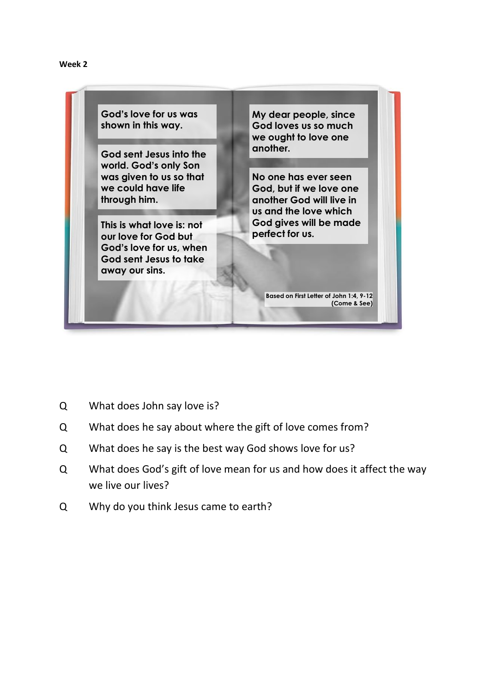

Q What does John say love is?

**Week 2**

- Q What does he say about where the gift of love comes from?
- Q What does he say is the best way God shows love for us?
- Q What does God's gift of love mean for us and how does it affect the way we live our lives?
- Q Why do you think Jesus came to earth?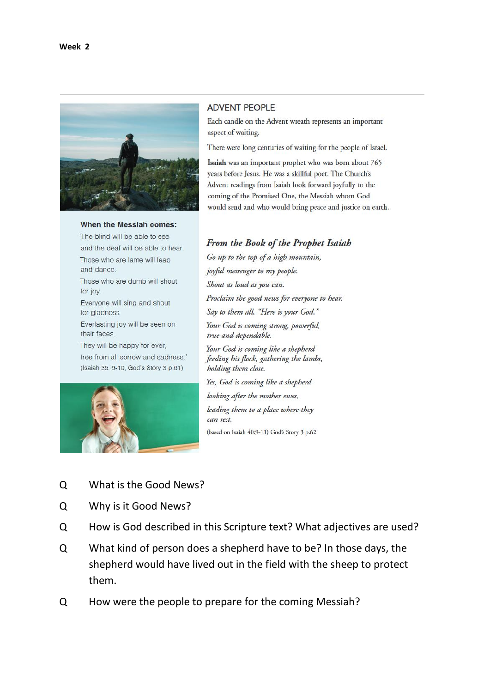

#### When the Messiah comes:

'The blind will be able to see and the deaf will be able to hear. Those who are lame will leap and dance. Those who are dumb will shout for joy. Everyone will sing and shout for gladness Everlasting joy will be seen on their faces. They will be happy for ever, free from all sorrow and sadness.' (Isaiah 35: 9-10; God's Story 3 p.61)



#### **ADVENT PEOPLE**

Each candle on the Advent wreath represents an important aspect of waiting.

There were long centuries of waiting for the people of Israel.

Isaiah was an important prophet who was born about 765 years before Jesus. He was a skillful poet. The Church's Advent readings from Isaiah look forward joyfully to the coming of the Promised One, the Messiah whom God would send and who would bring peace and justice on earth.

## From the Book of the Prophet Isaiah

Go up to the top of a high mountain, joyful messenger to my people. Shout as loud as you can. Proclaim the good news for everyone to hear. Say to them all, "Here is your God." Your God is coming strong, powerful, true and dependable. Your God is coming like a shepherd feeding his flock, gathering the lambs, holding them close. Yes, God is coming like a shepherd looking after the mother ewes, leading them to a place where they can rest.

(based on Isaiah 40:9-11) God's Story 3 p.62

- Q What is the Good News?
- Q Why is it Good News?
- Q How is God described in this Scripture text? What adjectives are used?
- Q What kind of person does a shepherd have to be? In those days, the shepherd would have lived out in the field with the sheep to protect them.
- Q How were the people to prepare for the coming Messiah?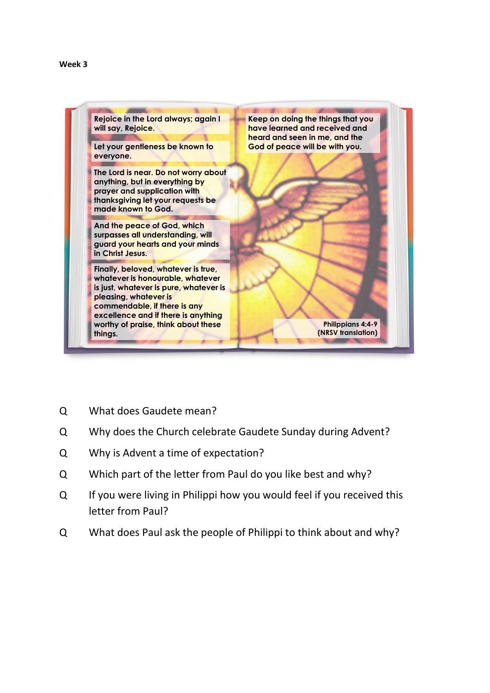

- Q What does Gaudete mean?
- Q Why does the Church celebrate Gaudete Sunday during Advent?
- Q Why is Advent a time of expectation?
- Q Which part of the letter from Paul do you like best and why?
- Q If you were living in Philippi how you would feel if you received this letter from Paul?
- Q What does Paul ask the people of Philippi to think about and why?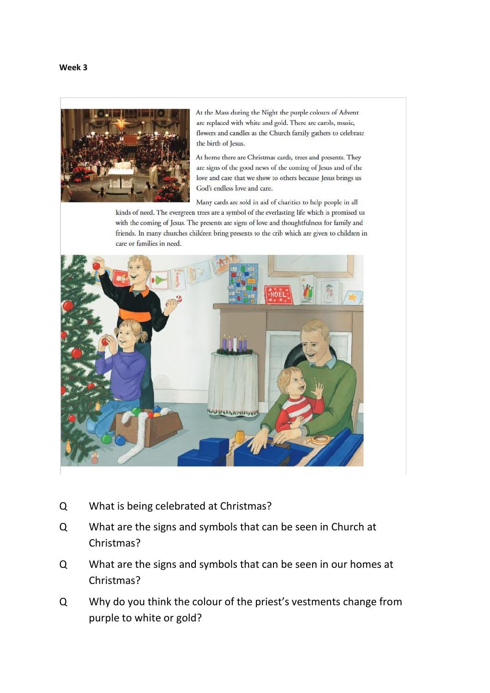

At the Mass during the Night the purple colours of Advent are replaced with white and gold. There are carols, music, flowers and candles as the Church family gathers to celebrate the birth of Jesus.

At home there are Christmas cards, trees and presents. They are signs of the good news of the coming of Jesus and of the love and care that we show to others because Jesus brings us God's endless love and care.

Many cards are sold in aid of charities to help people in all kinds of need. The evergreen trees are a symbol of the everlasting life which is promised us with the coming of Jesus. The presents are signs of love and thoughtfulness for family and friends. In many churches children bring presents to the crib which are given to children in care or families in need.



- Q What is being celebrated at Christmas?
- Q What are the signs and symbols that can be seen in Church at Christmas?
- Q What are the signs and symbols that can be seen in our homes at Christmas?
- Q Why do you think the colour of the priest's vestments change from purple to white or gold?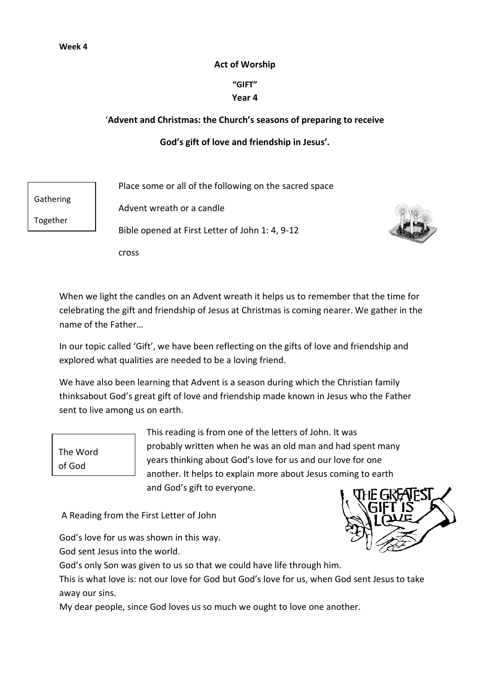### **Act of Worship**

# **"GIFT"**

## **Year 4**

## '**Advent and Christmas: the Church's seasons of preparing to receive**

# **God's gift of love and friendship in Jesus'.**

Place some or all of the following on the sacred space

Gathering

Together

Advent wreath or a candle

Bible opened at First Letter of John 1: 4, 9-12



cross

When we light the candles on an Advent wreath it helps us to remember that the time for celebrating the gift and friendship of Jesus at Christmas is coming nearer. We gather in the name of the Father…

In our topic called 'Gift', we have been reflecting on the gifts of love and friendship and explored what qualities are needed to be a loving friend.

We have also been learning that Advent is a season during which the Christian family thinksabout God's great gift of love and friendship made known in Jesus who the Father sent to live among us on earth.

The Word of God

This reading is from one of the letters of John. It was probably written when he was an old man and had spent many years thinking about God's love for us and our love for one another. It helps to explain more about Jesus coming to earth and God's gift to everyone.

A Reading from the First Letter of John

God's love for us was shown in this way.

God sent Jesus into the world.

God's only Son was given to us so that we could have life through him.

This is what love is: not our love for God but God's love for us, when God sent Jesus to take away our sins.

My dear people, since God loves us so much we ought to love one another.